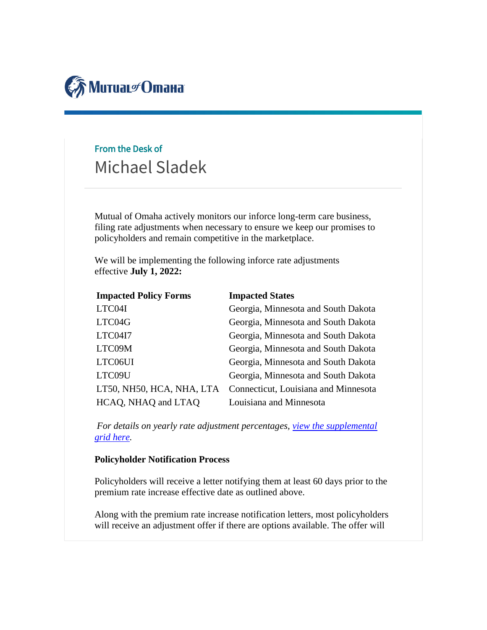

## From the Desk of Michael Sladek

Mutual of Omaha actively monitors our inforce long-term care business, filing rate adjustments when necessary to ensure we keep our promises to policyholders and remain competitive in the marketplace.

We will be implementing the following inforce rate adjustments effective **July 1, 2022:**

| <b>Impacted Policy Forms</b> | <b>Impacted States</b>               |
|------------------------------|--------------------------------------|
| LTC04I                       | Georgia, Minnesota and South Dakota  |
| LTC04G                       | Georgia, Minnesota and South Dakota  |
| LTC04I7                      | Georgia, Minnesota and South Dakota  |
| LTC09M                       | Georgia, Minnesota and South Dakota  |
| LTC06UI                      | Georgia, Minnesota and South Dakota  |
| LTC09U                       | Georgia, Minnesota and South Dakota  |
| LT50, NH50, HCA, NHA, LTA    | Connecticut, Louisiana and Minnesota |
| HCAQ, NHAQ and LTAQ          | Louisiana and Minnesota              |

*For details on yearly rate adjustment percentages, [view the supplemental](http://blogs.mutualofomaha.com/express/files/2022/04/Rate-Adjustment-Grid-7.1.2022_FINAL.pdf)  [grid here.](http://blogs.mutualofomaha.com/express/files/2022/04/Rate-Adjustment-Grid-7.1.2022_FINAL.pdf)*

## **Policyholder Notification Process**

Policyholders will receive a letter notifying them at least 60 days prior to the premium rate increase effective date as outlined above.

Along with the premium rate increase notification letters, most policyholders will receive an adjustment offer if there are options available. The offer will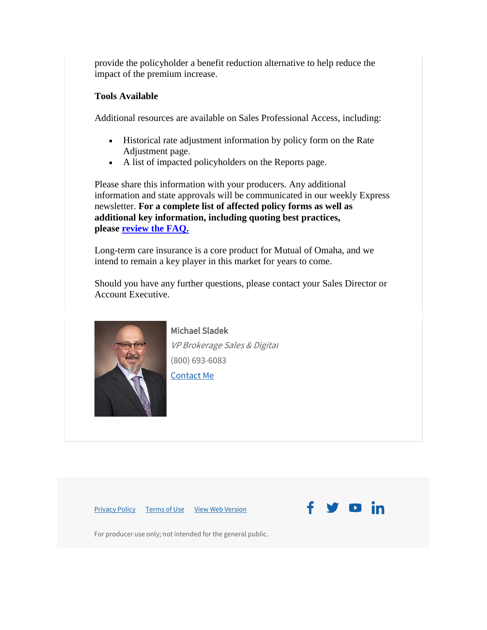provide the policyholder a benefit reduction alternative to help reduce the impact of the premium increase.

## **Tools Available**

Additional resources are available on Sales Professional Access, including:

- Historical rate adjustment information by policy form on the Rate Adjustment page.
- A list of impacted policyholders on the Reports page.

Please share this information with your producers. Any additional information and state approvals will be communicated in our weekly Express newsletter. **For a complete list of affected policy forms as well as additional key information, including quoting best practices, please [review the FAQ.](http://blogs.mutualofomaha.com/express/files/2022/04/External-Inforce-Rate-Increase-FAQ_April-2022-Update_Brokerage.pdf)**

Long-term care insurance is a core product for Mutual of Omaha, and we intend to remain a key player in this market for years to come.

Should you have any further questions, please contact your Sales Director or Account Executive.



Michael Sladek VP Brokerage Sales & Digital (800) 693-6083 [Contact Me](mailto:ae.support@mutualofomaha.com)

[Privacy Policy](https://click.e.mutualofomaha.com/?qs=5248f0851eb25ea0b95c7adc4fdcbd79cd98d13dd8cc06fef62256e946e59745585a3f889fb31724f8728e79e6d80ee190459fe1a4db6049) [Terms of Use](https://click.e.mutualofomaha.com/?qs=69f6a319889d65be12b83686dc849bd5e08e7fbab163404ea52657417751fb41eadae365745e07a16cd0ab21957ddef6d2a2c0ad6347a0ab) [View Web Version](https://view.e.mutualofomaha.com/?qs=9be59f2f7cc0422ac275c45be98d7497bbf92a2876d4fb14205ab80af26b10f5642924420ff6ce2e1fc2ab732e557a2e433a8bc52887fe87ecdb02a8c20424624ae2d7269fa954baea0f59a76e37ca13)



For producer use only; not intended for the general public.